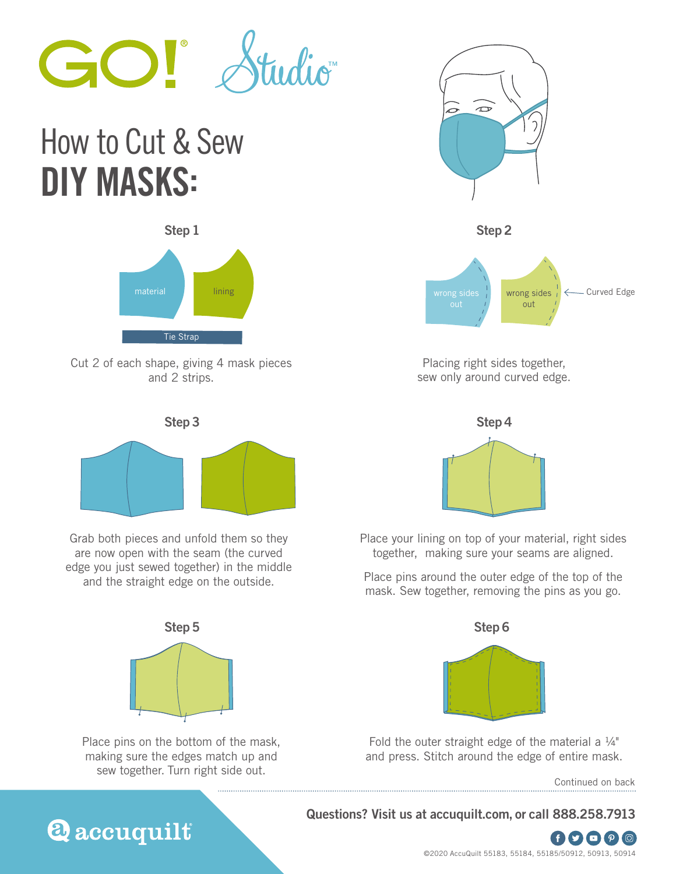

## How to Cut & Sew DIY MASKS:



Cut 2 of each shape, giving 4 mask pieces and 2 strips.



Grab both pieces and unfold them so they are now open with the seam (the curved edge you just sewed together) in the middle and the straight edge on the outside.



Place pins on the bottom of the mask, making sure the edges match up and sew together. Turn right side out.



Placing right sides together, sew only around curved edge.



Place your lining on top of your material, right sides together, making sure your seams are aligned.

Place pins around the outer edge of the top of the mask. Sew together, removing the pins as you go.



Fold the outer straight edge of the material a  $\frac{1}{4}$ " and press. Stitch around the edge of entire mask.

Continued on back

**Questions? Visit us at accuquilt.com, or call 888.258.7913** 



**Q** accuquilt